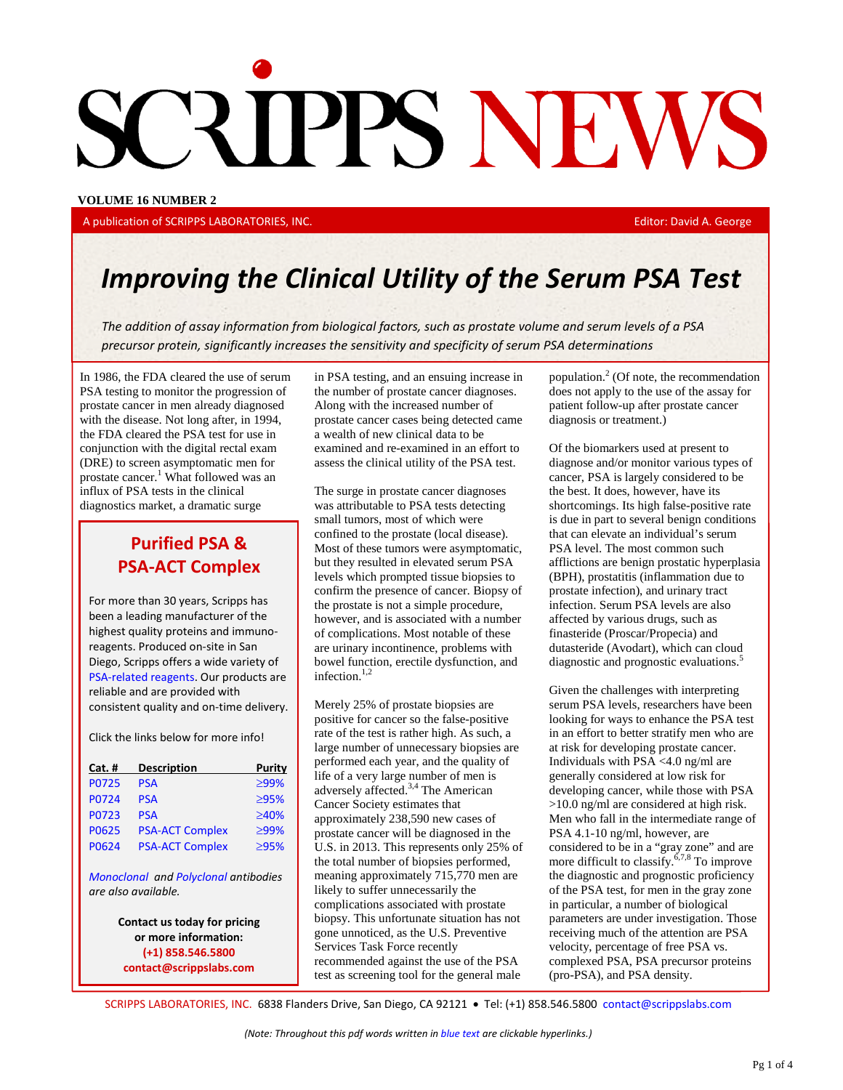# CRIPPS NEWS

**VOLUME 16 NUMBER 2**

A publication of [SCRIPPS LABORATORIES, INC.](mailto:dgeorge@scrippslabs.com) **Editor: David A. George** Editor: David A. George

# *Improving the Clinical Utility of the Serum PSA Test*

*The addition of assay information from biological factors, such as prostate volume and serum levels of a PSA precursor protein, significantly increases the sensitivity and specificity of serum PSA determinations*

In 1986, the FDA cleared the use of serum PSA testing to monitor the progression of prostate cancer in men already diagnosed with the disease. Not long after, in 1994, the FDA cleared the PSA test for use in conjunction with the digital rectal exam (DRE) to screen asymptomatic men for prostate cancer.<sup>1</sup> What followed was an influx of PSA tests in the clinical diagnostics market, a dramatic surge

# **Purified PSA & PSA-ACT Complex**

For more than 30 years, Scripps has been a leading manufacturer of the highest quality proteins and immunoreagents. Produced on-site in San Diego, Scripps offers a wide variety of [PSA-related reagents.](http://www.scrippslabs.com/cancer-markers-prostate-specific-antigen/) Our products are reliable and are provided with consistent quality and on-time delivery.

Click the links below for more info!

| Cat. # | <b>Description</b>     | Purity      |
|--------|------------------------|-------------|
| P0725  | <b>PSA</b>             | ≥99%        |
| P0724  | <b>PSA</b>             | $\geq 95\%$ |
| P0723  | <b>PSA</b>             | ≥40%        |
| P0625  | <b>PSA-ACT Complex</b> | ≥99%        |
| P0624  | <b>PSA-ACT Complex</b> | $\geq 95\%$ |
|        |                        |             |

*[Monoclonal](http://www.scrippslabs.com/monoclonal-antibodies-psa-mp077/) and [Polyclonal](http://www.scrippslabs.com/polyclonal-antibodies-goat-psa-gp079/) antibodies are also available.*

> **Contact us today for pricing or more information: (+1) 858.546.5800 [contact@scrippslabs.com](mailto:contact@scrippslabs.com)**

in PSA testing, and an ensuing increase in the number of prostate cancer diagnoses. Along with the increased number of prostate cancer cases being detected came a wealth of new clinical data to be examined and re-examined in an effort to assess the clinical utility of the PSA test.

The surge in prostate cancer diagnoses was attributable to PSA tests detecting small tumors, most of which were confined to the prostate (local disease). Most of these tumors were asymptomatic, but they resulted in elevated serum PSA levels which prompted tissue biopsies to confirm the presence of cancer. Biopsy of the prostate is not a simple procedure, however, and is associated with a number of complications. Most notable of these are urinary incontinence, problems with bowel function, erectile dysfunction, and infection.<sup>1,2</sup>

Merely 25% of prostate biopsies are positive for cancer so the false-positive rate of the test is rather high. As such, a large number of unnecessary biopsies are performed each year, and the quality of life of a very large number of men is adversely affected.3,4 The American Cancer Society estimates that approximately 238,590 new cases of prostate cancer will be diagnosed in the U.S. in 2013. This represents only 25% of the total number of biopsies performed, meaning approximately 715,770 men are likely to suffer unnecessarily the complications associated with prostate biopsy. This unfortunate situation has not gone unnoticed, as the U.S. Preventive Services Task Force recently recommended against the use of the PSA test as screening tool for the general male

population. $<sup>2</sup>$  (Of note, the recommendation</sup> does not apply to the use of the assay for patient follow-up after prostate cancer diagnosis or treatment.)

Of the biomarkers used at present to diagnose and/or monitor various types of cancer, PSA is largely considered to be the best. It does, however, have its shortcomings. Its high false-positive rate is due in part to several benign conditions that can elevate an individual's serum PSA level. The most common such afflictions are benign prostatic hyperplasia (BPH), prostatitis (inflammation due to prostate infection), and urinary tract infection. Serum PSA levels are also affected by various drugs, such as finasteride (Proscar/Propecia) and dutasteride (Avodart), which can cloud diagnostic and prognostic evaluations.<sup>5</sup>

Given the challenges with interpreting serum PSA levels, researchers have been looking for ways to enhance the PSA test in an effort to better stratify men who are at risk for developing prostate cancer. Individuals with PSA <4.0 ng/ml are generally considered at low risk for developing cancer, while those with PSA >10.0 ng/ml are considered at high risk. Men who fall in the intermediate range of PSA 4.1-10 ng/ml, however, are considered to be in a "gray zone" and are more difficult to classify.<sup>6,7,8</sup> To improve the diagnostic and prognostic proficiency of the PSA test, for men in the gray zone in particular, a number of biological parameters are under investigation. Those receiving much of the attention are PSA velocity, percentage of free PSA vs. complexed PSA, PSA precursor proteins (pro-PSA), and PSA density.

[SCRIPPS LABORATORIES, INC.](http://www.scrippslabs.com/) 6838 Flanders Drive, San Diego, CA 92121 • Tel: (+1) 858.546.5800 [contact@scrippslabs.com](mailto:contact@scrippslabs.com)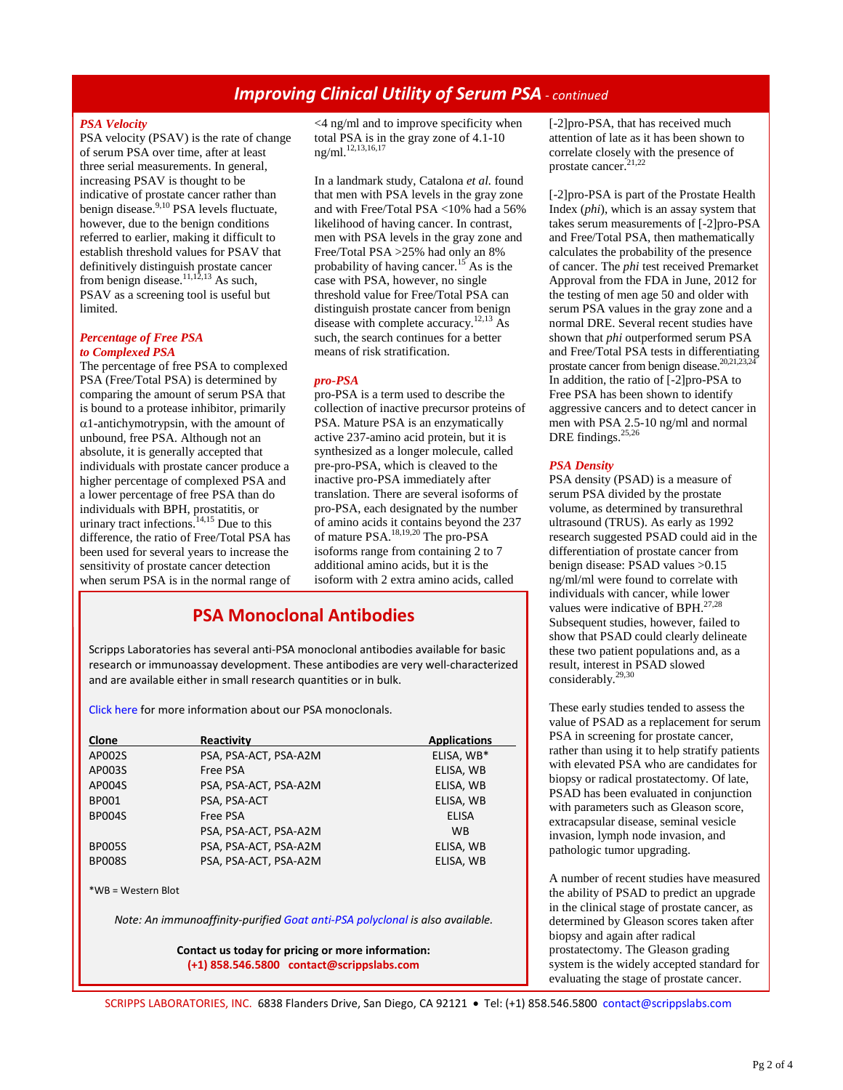# *Improving Clinical Utility of Serum PSA - continued*

### *PSA Velocity*

PSA velocity (PSAV) is the rate of change of serum PSA over time, after at least three serial measurements. In general, increasing PSAV is thought to be indicative of prostate cancer rather than benign disease.<sup>9,10</sup> PSA levels fluctuate, however, due to the benign conditions referred to earlier, making it difficult to establish threshold values for PSAV that definitively distinguish prostate cancer from benign disease.<sup>11,12,13</sup> As such, PSAV as a screening tool is useful but limited.

### *Percentage of Free PSA to Complexed PSA*

The percentage of free PSA to complexed PSA (Free/Total PSA) is determined by comparing the amount of serum PSA that is bound to a protease inhibitor, primarily  $\alpha$ 1-antichymotrypsin, with the amount of unbound, free PSA. Although not an absolute, it is generally accepted that individuals with prostate cancer produce a higher percentage of complexed PSA and a lower percentage of free PSA than do individuals with BPH, prostatitis, or urinary tract infections. $14,15$  Due to this difference, the ratio of Free/Total PSA has been used for several years to increase the sensitivity of prostate cancer detection when serum PSA is in the normal range of <4 ng/ml and to improve specificity when total PSA is in the gray zone of 4.1-10 ng/ml.<sup>12,13,16,17</sup>

In a landmark study, Catalona *et al.* found that men with PSA levels in the gray zone and with Free/Total PSA <10% had a 56% likelihood of having cancer. In contrast, men with PSA levels in the gray zone and Free/Total PSA >25% had only an 8% probability of having cancer.<sup>15</sup> As is the case with PSA, however, no single threshold value for Free/Total PSA can distinguish prostate cancer from benign disease with complete accuracy.<sup>12,13</sup> As such, the search continues for a better means of risk stratification.

### *pro-PSA*

pro-PSA is a term used to describe the collection of inactive precursor proteins of PSA. Mature PSA is an enzymatically active 237-amino acid protein, but it is synthesized as a longer molecule, called pre-pro-PSA, which is cleaved to the inactive pro-PSA immediately after translation. There are several isoforms of pro-PSA, each designated by the number of amino acids it contains beyond the 237 of mature PSA.18,19,20 The pro-PSA isoforms range from containing 2 to 7 additional amino acids, but it is the isoform with 2 extra amino acids, called

# **[PSA Monoclonal Antibodies](http://www.scrippslabs.com/product-category-human-hormones/)**

Scripps Laboratories has several anti-PSA monoclonal antibodies available for basic research or immunoassay development. These antibodies are very well-characterized and are available either in small research quantities or in bulk.

[Click here](http://www.scrippslabs.com/monoclonal-antibodies-psa-mp077/) for more information about our PSA monoclonals.

| Clone         | Reactivity            | <b>Applications</b> |
|---------------|-----------------------|---------------------|
| AP002S        | PSA, PSA-ACT, PSA-A2M | ELISA, WB*          |
| AP003S        | Free PSA              | ELISA, WB           |
| AP004S        | PSA, PSA-ACT, PSA-A2M | ELISA, WB           |
| <b>BP001</b>  | PSA, PSA-ACT          | ELISA, WB           |
| <b>BP004S</b> | Free PSA              | <b>ELISA</b>        |
|               | PSA, PSA-ACT, PSA-A2M | <b>WB</b>           |
| <b>BP005S</b> | PSA, PSA-ACT, PSA-A2M | ELISA, WB           |
| <b>BP008S</b> | PSA, PSA-ACT, PSA-A2M | ELISA, WB           |

\*WB = Western Blot

*Note: An immunoaffinity-purifie[d Goat anti-PSA polyclonal](http://www.scrippslabs.com/polyclonal-antibodies-goat-psa-gp079/) is also available.*

**Contact us today for pricing or more information: (+1) 858.546.5800 [contact@scrippslabs.com](mailto:contact@scrippslabs.com)**

[-2]pro-PSA, that has received much] attention of late as it has been shown to correlate closely with the presence of prostate cancer.<sup>21,22</sup>

[-2]pro-PSA is part of the Prostate Health Index (*phi*), which is an assay system that takes serum measurements of [-2]pro-PSA and Free/Total PSA, then mathematically calculates the probability of the presence of cancer. The *phi* test received Premarket Approval from the FDA in June, 2012 for the testing of men age 50 and older with serum PSA values in the gray zone and a normal DRE. Several recent studies have shown that *phi* outperformed serum PSA and Free/Total PSA tests in differentiating prostate cancer from benign disease.<sup>20,21,23,2</sup> In addition, the ratio of [-2]pro-PSA to Free PSA has been shown to identify aggressive cancers and to detect cancer in men with PSA 2.5-10 ng/ml and normal DRE findings.<sup>25,26</sup>

## *PSA Density*

PSA density (PSAD) is a measure of serum PSA divided by the prostate volume, as determined by transurethral ultrasound (TRUS). As early as 1992 research suggested PSAD could aid in the differentiation of prostate cancer from benign disease: PSAD values >0.15 ng/ml/ml were found to correlate with individuals with cancer, while lower values were indicative of BPH. $27,28$ Subsequent studies, however, failed to show that PSAD could clearly delineate these two patient populations and, as a result, interest in PSAD slowed considerably.29,30

These early studies tended to assess the value of PSAD as a replacement for serum PSA in screening for prostate cancer, rather than using it to help stratify patients with elevated PSA who are candidates for biopsy or radical prostatectomy. Of late, PSAD has been evaluated in conjunction with parameters such as Gleason score, extracapsular disease, seminal vesicle invasion, lymph node invasion, and pathologic tumor upgrading.

A number of recent studies have measured the ability of PSAD to predict an upgrade in the clinical stage of prostate cancer, as determined by Gleason scores taken after biopsy and again after radical prostatectomy. The Gleason grading system is the widely accepted standard for evaluating the stage of prostate cancer.

[SCRIPPS LABORATORIES, INC.](http://www.scrippslabs.com/) 6838 Flanders Drive, San Diego, CA 92121 • Tel: (+1) 858.546.5800 [contact@scrippslabs.com](mailto:contact@scrippslabs.com)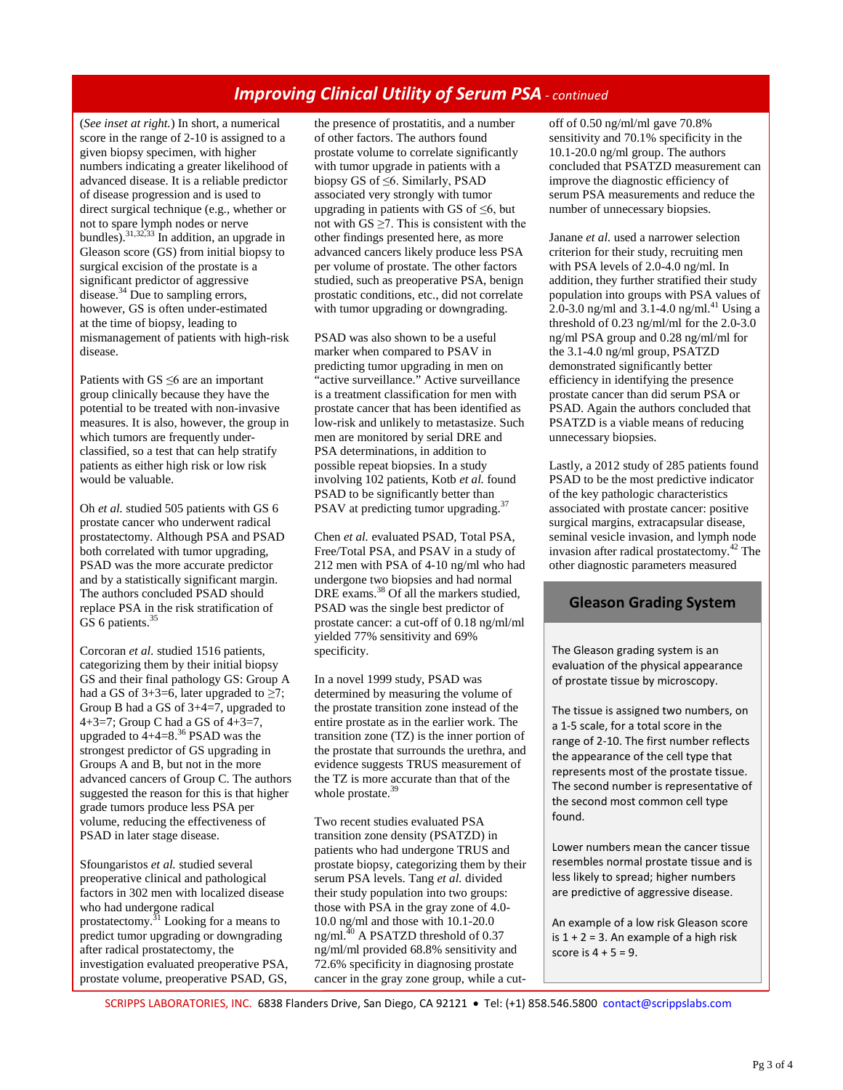# *Improving Clinical Utility of Serum PSA - continued*

(*See inset at right.*) In short, a numerical score in the range of 2-10 is assigned to a given biopsy specimen, with higher numbers indicating a greater likelihood of advanced disease. It is a reliable predictor of disease progression and is used to direct surgical technique (e.g., whether or not to spare lymph nodes or nerve bundles).<sup>31,32,33</sup> In addition, an upgrade in Gleason score (GS) from initial biopsy to surgical excision of the prostate is a significant predictor of aggressive disease. $34$  Due to sampling errors, however, GS is often under-estimated at the time of biopsy, leading to mismanagement of patients with high-risk disease.

Patients with  $GS \leq 6$  are an important group clinically because they have the potential to be treated with non-invasive measures. It is also, however, the group in which tumors are frequently underclassified, so a test that can help stratify patients as either high risk or low risk would be valuable.

Oh *et al.* studied 505 patients with GS 6 prostate cancer who underwent radical prostatectomy. Although PSA and PSAD both correlated with tumor upgrading, PSAD was the more accurate predictor and by a statistically significant margin. The authors concluded PSAD should replace PSA in the risk stratification of GS 6 patients.<sup>35</sup>

Corcoran *et al.* studied 1516 patients, categorizing them by their initial biopsy GS and their final pathology GS: Group A had a GS of  $3+3=6$ , later upgraded to  $\geq 7$ ; Group B had a GS of 3+4=7, upgraded to 4+3=7; Group C had a GS of  $4+3=7$ , upgraded to  $4+4=8^{36}$  PSAD was the strongest predictor of GS upgrading in Groups A and B, but not in the more advanced cancers of Group C. The authors suggested the reason for this is that higher grade tumors produce less PSA per volume, reducing the effectiveness of PSAD in later stage disease.

Sfoungaristos *et al.* studied several preoperative clinical and pathological factors in 302 men with localized disease who had undergone radical prostatectomy.<sup>31</sup> Looking for a means to predict tumor upgrading or downgrading after radical prostatectomy, the investigation evaluated preoperative PSA, prostate volume, preoperative PSAD, GS,

the presence of prostatitis, and a number of other factors. The authors found prostate volume to correlate significantly with tumor upgrade in patients with a biopsy GS of ≤6. Similarly, PSAD associated very strongly with tumor upgrading in patients with GS of  $\leq 6$ , but not with GS  $\geq$ 7. This is consistent with the other findings presented here, as more advanced cancers likely produce less PSA per volume of prostate. The other factors studied, such as preoperative PSA, benign prostatic conditions, etc., did not correlate with tumor upgrading or downgrading.

PSAD was also shown to be a useful marker when compared to PSAV in predicting tumor upgrading in men on "active surveillance." Active surveillance is a treatment classification for men with prostate cancer that has been identified as low-risk and unlikely to metastasize. Such men are monitored by serial DRE and PSA determinations, in addition to possible repeat biopsies. In a study involving 102 patients, Kotb *et al.* found PSAD to be significantly better than PSAV at predicting tumor upgrading.<sup>37</sup>

Chen *et al.* evaluated PSAD, Total PSA, Free/Total PSA, and PSAV in a study of 212 men with PSA of 4-10 ng/ml who had undergone two biopsies and had normal DRE exams.<sup>38</sup> Of all the markers studied, PSAD was the single best predictor of prostate cancer: a cut-off of 0.18 ng/ml/ml yielded 77% sensitivity and 69% specificity.

In a novel 1999 study, PSAD was determined by measuring the volume of the prostate transition zone instead of the entire prostate as in the earlier work. The transition zone (TZ) is the inner portion of the prostate that surrounds the urethra, and evidence suggests TRUS measurement of the TZ is more accurate than that of the whole prostate.<sup>39</sup>

Two recent studies evaluated PSA transition zone density (PSATZD) in patients who had undergone TRUS and prostate biopsy, categorizing them by their serum PSA levels. Tang *et al.* divided their study population into two groups: those with PSA in the gray zone of 4.0- 10.0 ng/ml and those with 10.1-20.0 ng/ml.<sup>40</sup> A PSATZD threshold of 0.37 ng/ml/ml provided 68.8% sensitivity and 72.6% specificity in diagnosing prostate cancer in the gray zone group, while a cutoff of 0.50 ng/ml/ml gave 70.8% sensitivity and 70.1% specificity in the 10.1-20.0 ng/ml group. The authors concluded that PSATZD measurement can improve the diagnostic efficiency of serum PSA measurements and reduce the number of unnecessary biopsies.

Janane *et al.* used a narrower selection criterion for their study, recruiting men with PSA levels of 2.0-4.0 ng/ml. In addition, they further stratified their study population into groups with PSA values of 2.0-3.0 ng/ml and  $3.1$ -4.0 ng/ml.<sup>41</sup> Using a threshold of 0.23 ng/ml/ml for the 2.0-3.0 ng/ml PSA group and 0.28 ng/ml/ml for the 3.1-4.0 ng/ml group, PSATZD demonstrated significantly better efficiency in identifying the presence prostate cancer than did serum PSA or PSAD. Again the authors concluded that PSATZD is a viable means of reducing unnecessary biopsies.

Lastly, a 2012 study of 285 patients found PSAD to be the most predictive indicator of the key pathologic characteristics associated with prostate cancer: positive surgical margins, extracapsular disease, seminal vesicle invasion, and lymph node invasion after radical prostatectomy.<sup>42</sup> The other diagnostic parameters measured

# **Gleason Grading System**

The Gleason grading system is an evaluation of the physical appearance of prostate tissue by microscopy.

The tissue is assigned two numbers, on a 1-5 scale, for a total score in the range of 2-10. The first number reflects the appearance of the cell type that represents most of the prostate tissue. The second number is representative of the second most common cell type found.

Lower numbers mean the cancer tissue resembles normal prostate tissue and is less likely to spread; higher numbers are predictive of aggressive disease.

An example of a low risk Gleason score is  $1 + 2 = 3$ . An example of a high risk score is  $4 + 5 = 9$ .